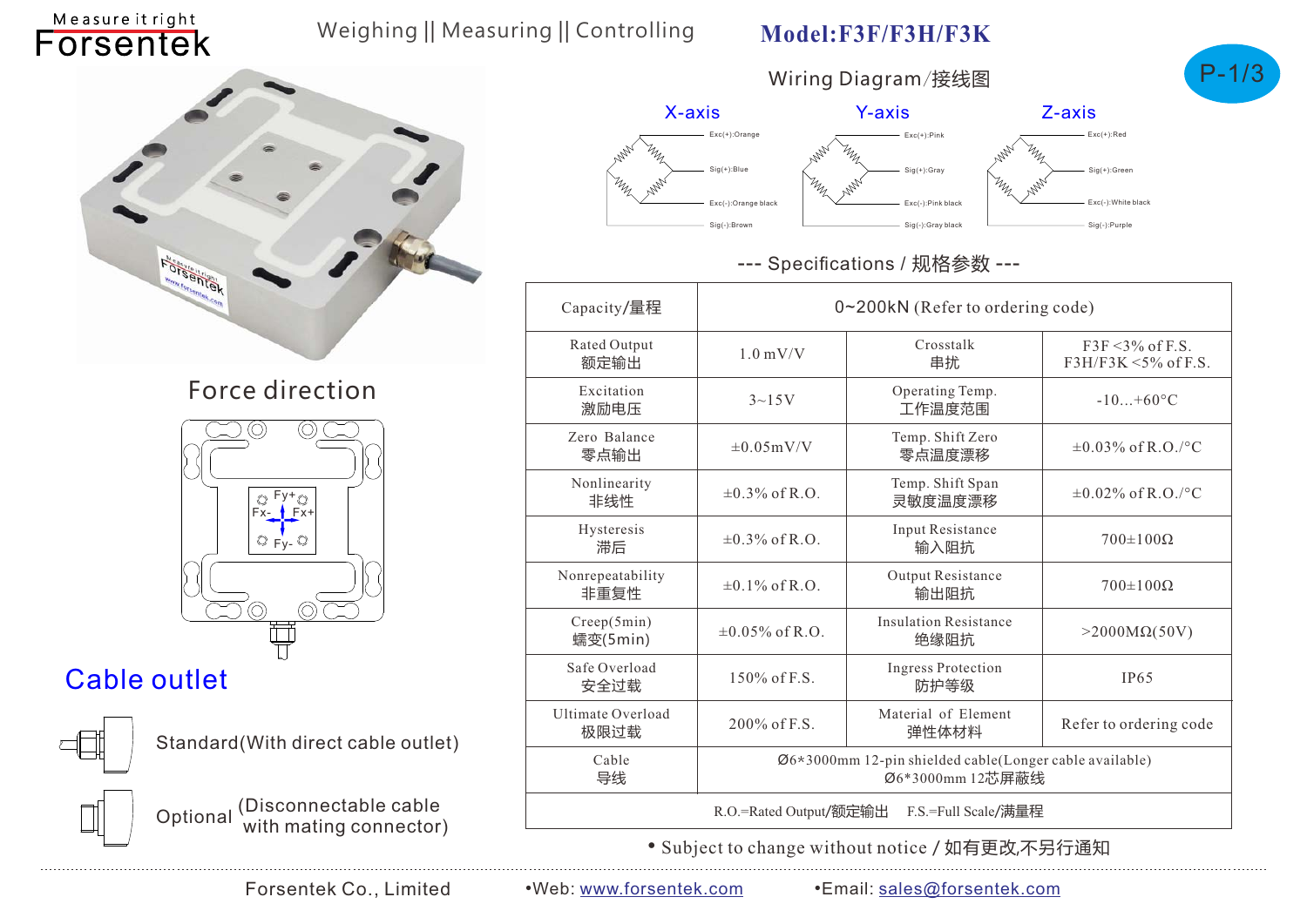## Weighing || Measuring || Controlling

### **Model:F3F/F3H/F3K**

Wiring Diagram*/*接线图





## Force direction



# Cable outlet

Measure it right Forsentek



Standard(With direct cable outlet)



Optional (Disconnectable cable with mating connector)







#### --- Specifications / 规格参数 ---

| Capacity/量程                                   | 0~200kN (Refer to ordering code)                                            |                                      |                                                      |  |  |  |
|-----------------------------------------------|-----------------------------------------------------------------------------|--------------------------------------|------------------------------------------------------|--|--|--|
| Rated Output<br>额定输出                          | $1.0$ mV/V                                                                  | Crosstalk<br>串扰                      | $F3F \leq 3\%$ of F.S.<br>$F3H/F3K \leq 5\%$ of F.S. |  |  |  |
| Excitation<br>激励电压                            | $3{\sim}15V$                                                                | Operating Temp.<br>工作温度范围            | $-10+60^{\circ}C$                                    |  |  |  |
| Zero Balance<br>零点输出                          | $\pm 0.05$ m $V/V$                                                          | Temp. Shift Zero<br>零点温度漂移           | $\pm 0.03\%$ of R.O./°C                              |  |  |  |
| Nonlinearity<br>非线性                           | $\pm 0.3\%$ of R.O.                                                         | Temp. Shift Span<br>灵敏度温度漂移          | $\pm 0.02\%$ of R.O./°C                              |  |  |  |
| Hysteresis<br>滞后                              | $\pm 0.3\%$ of R.O.                                                         | Input Resistance<br>输入阻抗             | $700\pm100\Omega$                                    |  |  |  |
| Nonrepeatability<br>非重复性                      | $\pm 0.1\%$ of R.O.                                                         | Output Resistance<br>输出阻抗            | $700\pm100\Omega$                                    |  |  |  |
| Creep(5min)<br>蠕变(5min)                       | $\pm 0.05\%$ of R.O.                                                        | <b>Insulation Resistance</b><br>绝缘阻抗 | $>$ 2000M $\Omega$ (50V)                             |  |  |  |
| Safe Overload<br>安全过载                         | 150% of F.S.                                                                | <b>Ingress Protection</b><br>防护等级    | <b>IP65</b>                                          |  |  |  |
| <b>Ultimate Overload</b><br>极限过载              | $200\%$ of F.S.                                                             | Material of Element<br>弹性体材料         | Refer to ordering code                               |  |  |  |
| Cable<br>导线                                   | Ø6*3000mm 12-pin shielded cable(Longer cable available)<br>Ø6*3000mm 12芯屏蔽线 |                                      |                                                      |  |  |  |
| R.O.=Rated Output/额定输出<br>F.S.=Full Scale/满量程 |                                                                             |                                      |                                                      |  |  |  |

• Subject to change without notice / 如有更改,不另行通知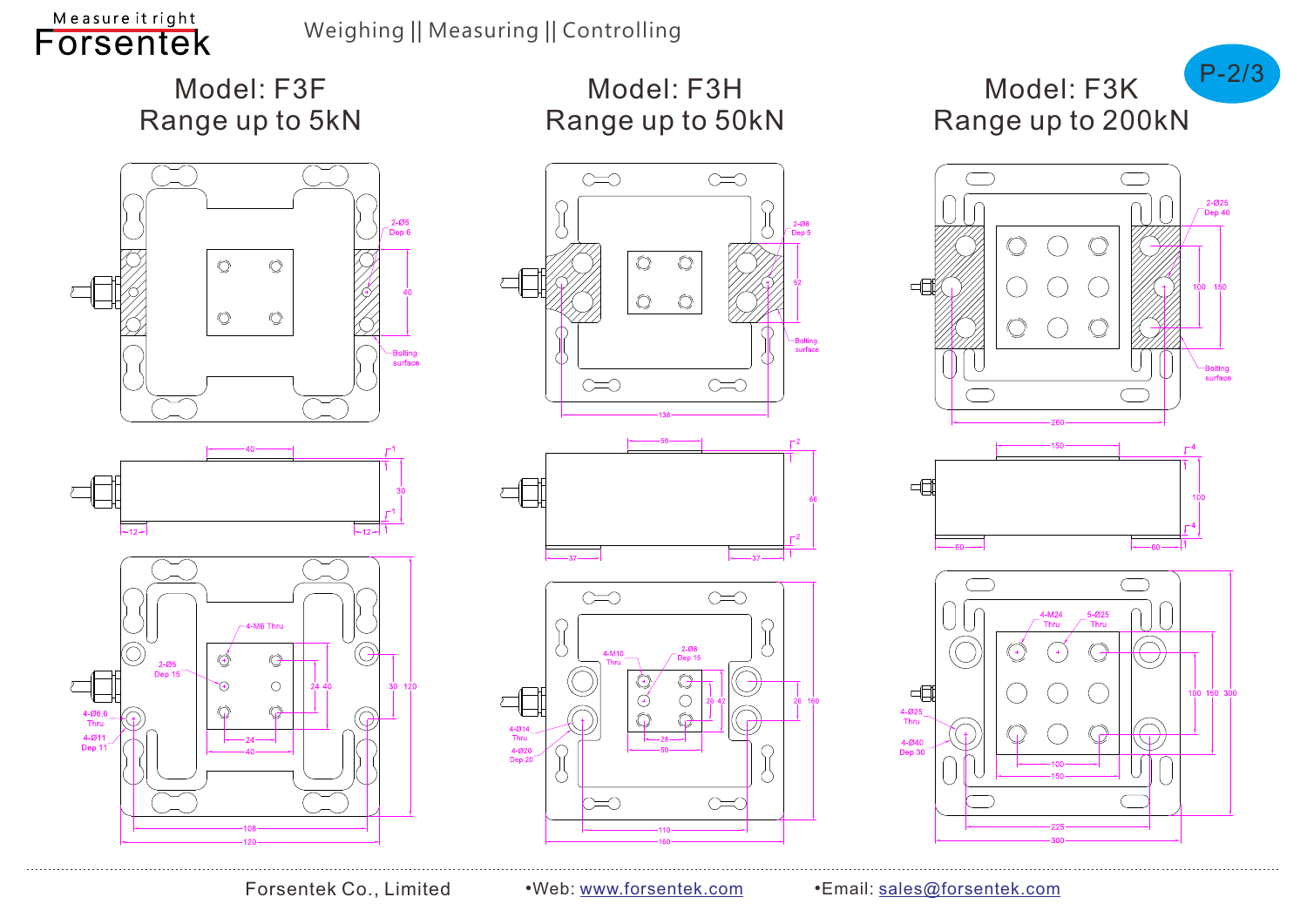# Model: F3F Range up to 5kN





Model: F3H